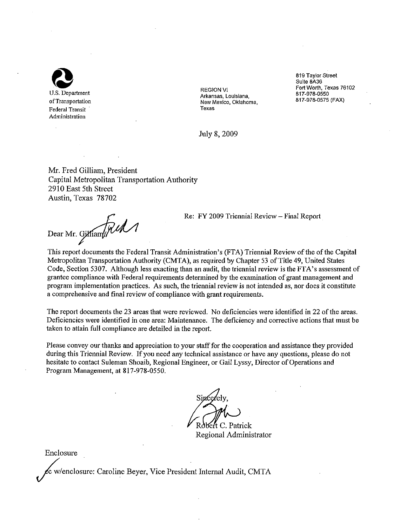

**REGION VI** Arkansas, Louisiana, New Mexico, Oklahoma, Texas

819 Taylor Street Suite 8A36 Fort Worth, Texas 76102 817-978-0550 817-978-0575 (FAX)

July 8, 2009

Mr. Fred Gilliam, President Capital Metropolitan Transportation Authority 2910 East 5th Street Austin, Texas 78702

Dear Mr. Gilliam Rul

Re: FY 2009 Triennial Review - Final Report

This report documents the Federal Transit Administration's (FTA) Triennial Review of the of the Capital Metropolitan Transportation Authority (CMTA), as required by Chapter 53 of Title 49, United States Code, Section 5307. Although less exacting than an audit, the triennial review is the FTA's assessment of grantee compliance with Federal requirements determined by the examination of grant management and program implementation practices. As such, the triennial review is not intended as, nor does it constitute a comprehensive and final review of compliance with grant requirements.

The report documents the 23 areas that were reviewed. No deficiencies were identified in 22 of the areas. Deficiencies were identified in one area: Maintenance. The deficiency and corrective actions that must be taken to attain full compliance are detailed in the report.

Please convey our thanks and appreciation to your staff for the cooperation and assistance they provided during this Triennial Review. If you need any technical assistance or have any questions, please do not hesitate to contact Suleman Shoaib, Regional Engineer, or Gail Lyssy, Director of Operations and Program Management, at 817-978-0550.

Robert C. Patrick

Regional Administrator

Enclosure

c w/enclosure: Caroline Beyer, Vice President Internal Audit, CMTA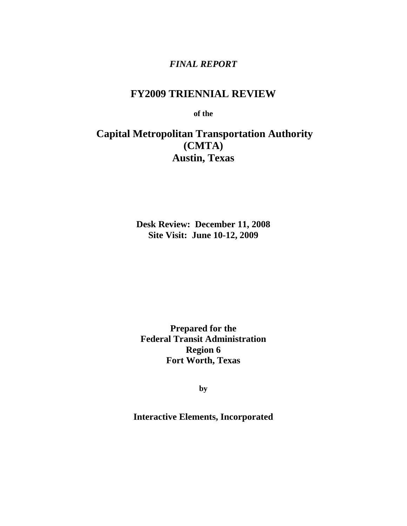# *FINAL REPORT*

# **FY2009 TRIENNIAL REVIEW**

**of the** 

# **Capital Metropolitan Transportation Authority (CMTA) Austin, Texas**

**Desk Review: December 11, 2008 Site Visit: June 10-12, 2009**

**Prepared for the Federal Transit Administration Region 6 Fort Worth, Texas**

**by** 

**Interactive Elements, Incorporated**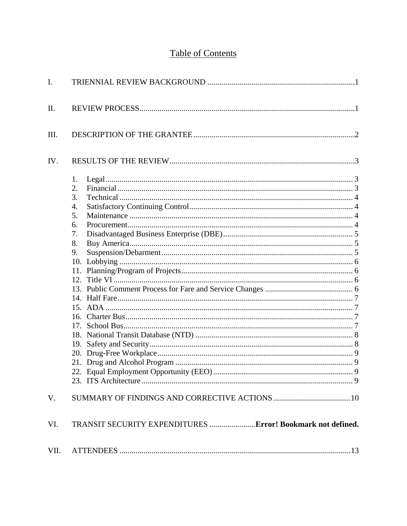# **Table of Contents**

| I.   |                                                                              |  |
|------|------------------------------------------------------------------------------|--|
| II.  |                                                                              |  |
| III. |                                                                              |  |
| IV.  |                                                                              |  |
|      | 1.<br>2.<br>3.<br>4.<br>5.<br>6.<br>7.<br>8.<br>9.<br>12 <sub>1</sub><br>19. |  |
| V.   |                                                                              |  |
| VI.  |                                                                              |  |
| VII. |                                                                              |  |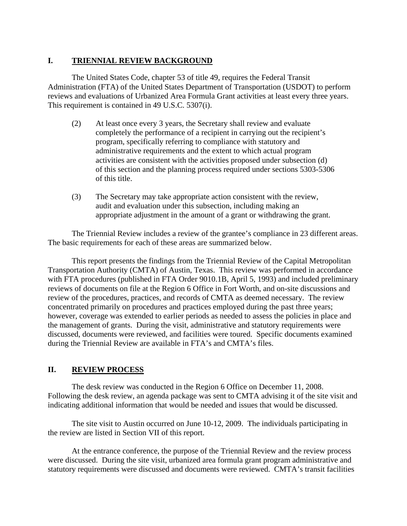### **I. TRIENNIAL REVIEW BACKGROUND**

The United States Code, chapter 53 of title 49, requires the Federal Transit Administration (FTA) of the United States Department of Transportation (USDOT) to perform reviews and evaluations of Urbanized Area Formula Grant activities at least every three years. This requirement is contained in 49 U.S.C. 5307(i).

- (2) At least once every 3 years, the Secretary shall review and evaluate completely the performance of a recipient in carrying out the recipient's program, specifically referring to compliance with statutory and administrative requirements and the extent to which actual program activities are consistent with the activities proposed under subsection (d) of this section and the planning process required under sections 5303-5306 of this title.
- (3) The Secretary may take appropriate action consistent with the review, audit and evaluation under this subsection, including making an appropriate adjustment in the amount of a grant or withdrawing the grant.

The Triennial Review includes a review of the grantee's compliance in 23 different areas. The basic requirements for each of these areas are summarized below.

This report presents the findings from the Triennial Review of the Capital Metropolitan Transportation Authority (CMTA) of Austin, Texas. This review was performed in accordance with FTA procedures (published in FTA Order 9010.1B, April 5, 1993) and included preliminary reviews of documents on file at the Region 6 Office in Fort Worth, and on-site discussions and review of the procedures, practices, and records of CMTA as deemed necessary. The review concentrated primarily on procedures and practices employed during the past three years; however, coverage was extended to earlier periods as needed to assess the policies in place and the management of grants. During the visit, administrative and statutory requirements were discussed, documents were reviewed, and facilities were toured. Specific documents examined during the Triennial Review are available in FTA's and CMTA's files.

### **II. REVIEW PROCESS**

The desk review was conducted in the Region 6 Office on December 11, 2008. Following the desk review, an agenda package was sent to CMTA advising it of the site visit and indicating additional information that would be needed and issues that would be discussed.

The site visit to Austin occurred on June 10-12, 2009. The individuals participating in the review are listed in Section VII of this report.

At the entrance conference, the purpose of the Triennial Review and the review process were discussed. During the site visit, urbanized area formula grant program administrative and statutory requirements were discussed and documents were reviewed. CMTA's transit facilities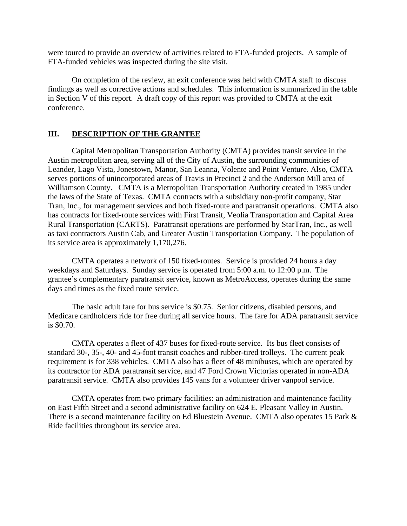were toured to provide an overview of activities related to FTA-funded projects. A sample of FTA-funded vehicles was inspected during the site visit.

On completion of the review, an exit conference was held with CMTA staff to discuss findings as well as corrective actions and schedules. This information is summarized in the table in Section V of this report. A draft copy of this report was provided to CMTA at the exit conference.

#### **III. DESCRIPTION OF THE GRANTEE**

Capital Metropolitan Transportation Authority (CMTA) provides transit service in the Austin metropolitan area, serving all of the City of Austin, the surrounding communities of Leander, Lago Vista, Jonestown, Manor, San Leanna, Volente and Point Venture. Also, CMTA serves portions of unincorporated areas of Travis in Precinct 2 and the Anderson Mill area of Williamson County. CMTA is a Metropolitan Transportation Authority created in 1985 under the laws of the State of Texas. CMTA contracts with a subsidiary non-profit company, Star Tran, Inc., for management services and both fixed-route and paratransit operations. CMTA also has contracts for fixed-route services with First Transit, Veolia Transportation and Capital Area Rural Transportation (CARTS). Paratransit operations are performed by StarTran, Inc., as well as taxi contractors Austin Cab, and Greater Austin Transportation Company. The population of its service area is approximately 1,170,276.

CMTA operates a network of 150 fixed-routes. Service is provided 24 hours a day weekdays and Saturdays. Sunday service is operated from 5:00 a.m. to 12:00 p.m. The grantee's complementary paratransit service, known as MetroAccess, operates during the same days and times as the fixed route service.

The basic adult fare for bus service is \$0.75. Senior citizens, disabled persons, and Medicare cardholders ride for free during all service hours. The fare for ADA paratransit service is \$0.70.

CMTA operates a fleet of 437 buses for fixed-route service. Its bus fleet consists of standard 30-, 35-, 40- and 45-foot transit coaches and rubber-tired trolleys. The current peak requirement is for 338 vehicles. CMTA also has a fleet of 48 minibuses, which are operated by its contractor for ADA paratransit service, and 47 Ford Crown Victorias operated in non-ADA paratransit service. CMTA also provides 145 vans for a volunteer driver vanpool service.

CMTA operates from two primary facilities: an administration and maintenance facility on East Fifth Street and a second administrative facility on 624 E. Pleasant Valley in Austin. There is a second maintenance facility on Ed Bluestein Avenue. CMTA also operates 15 Park & Ride facilities throughout its service area.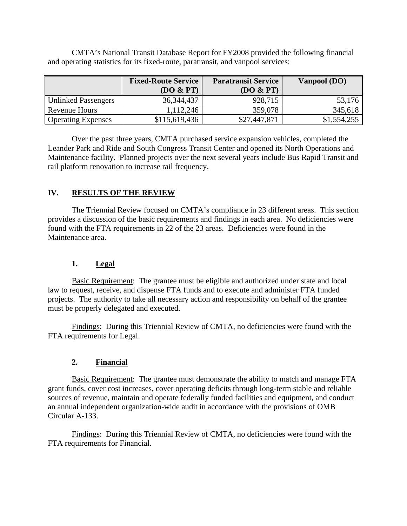CMTA's National Transit Database Report for FY2008 provided the following financial and operating statistics for its fixed-route, paratransit, and vanpool services:

|                           | <b>Fixed-Route Service</b><br>(DO & PT) | <b>Paratransit Service</b><br>(DO & PT) | Vanpool (DO) |
|---------------------------|-----------------------------------------|-----------------------------------------|--------------|
| Unlinked Passengers       | 36, 344, 437                            | 928,715                                 | 53,176       |
| Revenue Hours             | 1,112,246                               | 359,078                                 | 345,618      |
| <b>Operating Expenses</b> | \$115,619,436                           | \$27,447,871                            | \$1,554,255  |

Over the past three years, CMTA purchased service expansion vehicles, completed the Leander Park and Ride and South Congress Transit Center and opened its North Operations and Maintenance facility. Planned projects over the next several years include Bus Rapid Transit and rail platform renovation to increase rail frequency.

## **IV. RESULTS OF THE REVIEW**

The Triennial Review focused on CMTA's compliance in 23 different areas. This section provides a discussion of the basic requirements and findings in each area. No deficiencies were found with the FTA requirements in 22 of the 23 areas. Deficiencies were found in the Maintenance area.

#### **1. Legal**

Basic Requirement: The grantee must be eligible and authorized under state and local law to request, receive, and dispense FTA funds and to execute and administer FTA funded projects. The authority to take all necessary action and responsibility on behalf of the grantee must be properly delegated and executed.

Findings: During this Triennial Review of CMTA, no deficiencies were found with the FTA requirements for Legal.

#### **2. Financial**

Basic Requirement: The grantee must demonstrate the ability to match and manage FTA grant funds, cover cost increases, cover operating deficits through long-term stable and reliable sources of revenue, maintain and operate federally funded facilities and equipment, and conduct an annual independent organization-wide audit in accordance with the provisions of OMB Circular A-133.

Findings: During this Triennial Review of CMTA, no deficiencies were found with the FTA requirements for Financial.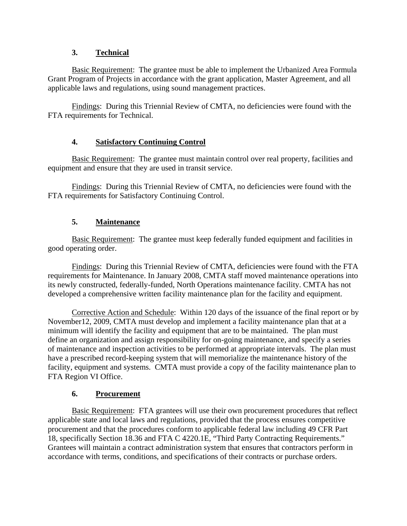### **3. Technical**

Basic Requirement: The grantee must be able to implement the Urbanized Area Formula Grant Program of Projects in accordance with the grant application, Master Agreement, and all applicable laws and regulations, using sound management practices.

Findings: During this Triennial Review of CMTA, no deficiencies were found with the FTA requirements for Technical.

### **4. Satisfactory Continuing Control**

Basic Requirement: The grantee must maintain control over real property, facilities and equipment and ensure that they are used in transit service.

Findings: During this Triennial Review of CMTA, no deficiencies were found with the FTA requirements for Satisfactory Continuing Control.

## **5. Maintenance**

Basic Requirement: The grantee must keep federally funded equipment and facilities in good operating order.

Findings: During this Triennial Review of CMTA, deficiencies were found with the FTA requirements for Maintenance. In January 2008, CMTA staff moved maintenance operations into its newly constructed, federally-funded, North Operations maintenance facility. CMTA has not developed a comprehensive written facility maintenance plan for the facility and equipment.

Corrective Action and Schedule: Within 120 days of the issuance of the final report or by November12, 2009, CMTA must develop and implement a facility maintenance plan that at a minimum will identify the facility and equipment that are to be maintained. The plan must define an organization and assign responsibility for on-going maintenance, and specify a series of maintenance and inspection activities to be performed at appropriate intervals. The plan must have a prescribed record-keeping system that will memorialize the maintenance history of the facility, equipment and systems. CMTA must provide a copy of the facility maintenance plan to FTA Region VI Office.

### **6. Procurement**

Basic Requirement: FTA grantees will use their own procurement procedures that reflect applicable state and local laws and regulations, provided that the process ensures competitive procurement and that the procedures conform to applicable federal law including 49 CFR Part 18, specifically Section 18.36 and FTA C 4220.1E, "Third Party Contracting Requirements." Grantees will maintain a contract administration system that ensures that contractors perform in accordance with terms, conditions, and specifications of their contracts or purchase orders.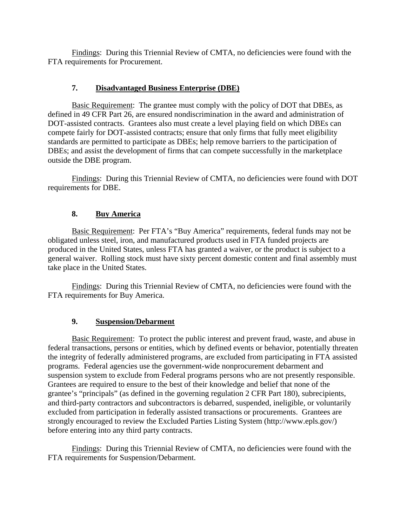Findings: During this Triennial Review of CMTA, no deficiencies were found with the FTA requirements for Procurement.

#### **7. Disadvantaged Business Enterprise (DBE)**

Basic Requirement: The grantee must comply with the policy of DOT that DBEs, as defined in 49 CFR Part 26, are ensured nondiscrimination in the award and administration of DOT-assisted contracts. Grantees also must create a level playing field on which DBEs can compete fairly for DOT-assisted contracts; ensure that only firms that fully meet eligibility standards are permitted to participate as DBEs; help remove barriers to the participation of DBEs; and assist the development of firms that can compete successfully in the marketplace outside the DBE program.

Findings: During this Triennial Review of CMTA, no deficiencies were found with DOT requirements for DBE.

### **8. Buy America**

Basic Requirement: Per FTA's "Buy America" requirements, federal funds may not be obligated unless steel, iron, and manufactured products used in FTA funded projects are produced in the United States, unless FTA has granted a waiver, or the product is subject to a general waiver. Rolling stock must have sixty percent domestic content and final assembly must take place in the United States.

Findings: During this Triennial Review of CMTA, no deficiencies were found with the FTA requirements for Buy America.

### **9. Suspension/Debarment**

Basic Requirement: To protect the public interest and prevent fraud, waste, and abuse in federal transactions, persons or entities, which by defined events or behavior, potentially threaten the integrity of federally administered programs, are excluded from participating in FTA assisted programs. Federal agencies use the government-wide nonprocurement debarment and suspension system to exclude from Federal programs persons who are not presently responsible. Grantees are required to ensure to the best of their knowledge and belief that none of the grantee's "principals" (as defined in the governing regulation 2 CFR Part 180), subrecipients, and third-party contractors and subcontractors is debarred, suspended, ineligible, or voluntarily excluded from participation in federally assisted transactions or procurements. Grantees are strongly encouraged to review the Excluded Parties Listing System (http://www.epls.gov/) before entering into any third party contracts.

Findings: During this Triennial Review of CMTA, no deficiencies were found with the FTA requirements for Suspension/Debarment.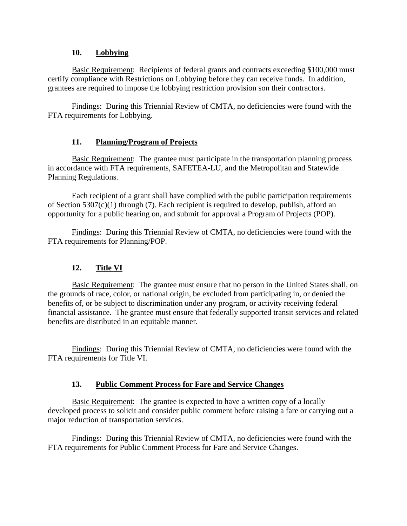#### **10. Lobbying**

Basic Requirement: Recipients of federal grants and contracts exceeding \$100,000 must certify compliance with Restrictions on Lobbying before they can receive funds. In addition, grantees are required to impose the lobbying restriction provision son their contractors.

Findings: During this Triennial Review of CMTA, no deficiencies were found with the FTA requirements for Lobbying.

### **11. Planning/Program of Projects**

Basic Requirement: The grantee must participate in the transportation planning process in accordance with FTA requirements, SAFETEA-LU, and the Metropolitan and Statewide Planning Regulations.

Each recipient of a grant shall have complied with the public participation requirements of Section 5307(c)(1) through (7). Each recipient is required to develop, publish, afford an opportunity for a public hearing on, and submit for approval a Program of Projects (POP).

Findings: During this Triennial Review of CMTA, no deficiencies were found with the FTA requirements for Planning/POP.

# **12. Title VI**

Basic Requirement: The grantee must ensure that no person in the United States shall, on the grounds of race, color, or national origin, be excluded from participating in, or denied the benefits of, or be subject to discrimination under any program, or activity receiving federal financial assistance. The grantee must ensure that federally supported transit services and related benefits are distributed in an equitable manner.

Findings: During this Triennial Review of CMTA, no deficiencies were found with the FTA requirements for Title VI.

### **13. Public Comment Process for Fare and Service Changes**

Basic Requirement: The grantee is expected to have a written copy of a locally developed process to solicit and consider public comment before raising a fare or carrying out a major reduction of transportation services.

Findings: During this Triennial Review of CMTA, no deficiencies were found with the FTA requirements for Public Comment Process for Fare and Service Changes.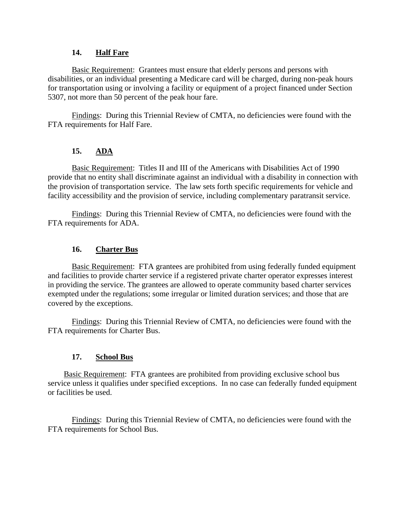#### **14. Half Fare**

Basic Requirement: Grantees must ensure that elderly persons and persons with disabilities, or an individual presenting a Medicare card will be charged, during non-peak hours for transportation using or involving a facility or equipment of a project financed under Section 5307, not more than 50 percent of the peak hour fare.

Findings: During this Triennial Review of CMTA, no deficiencies were found with the FTA requirements for Half Fare.

# **15. ADA**

Basic Requirement: Titles II and III of the Americans with Disabilities Act of 1990 provide that no entity shall discriminate against an individual with a disability in connection with the provision of transportation service. The law sets forth specific requirements for vehicle and facility accessibility and the provision of service, including complementary paratransit service.

Findings: During this Triennial Review of CMTA, no deficiencies were found with the FTA requirements for ADA.

### **16. Charter Bus**

Basic Requirement: FTA grantees are prohibited from using federally funded equipment and facilities to provide charter service if a registered private charter operator expresses interest in providing the service. The grantees are allowed to operate community based charter services exempted under the regulations; some irregular or limited duration services; and those that are covered by the exceptions.

Findings: During this Triennial Review of CMTA, no deficiencies were found with the FTA requirements for Charter Bus.

### **17. School Bus**

Basic Requirement: FTA grantees are prohibited from providing exclusive school bus service unless it qualifies under specified exceptions. In no case can federally funded equipment or facilities be used.

Findings: During this Triennial Review of CMTA, no deficiencies were found with the FTA requirements for School Bus.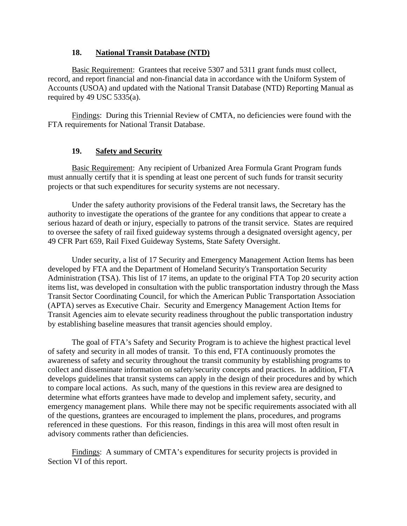#### **18. National Transit Database (NTD)**

Basic Requirement: Grantees that receive 5307 and 5311 grant funds must collect, record, and report financial and non-financial data in accordance with the Uniform System of Accounts (USOA) and updated with the National Transit Database (NTD) Reporting Manual as required by 49 USC  $5335(a)$ .

Findings: During this Triennial Review of CMTA, no deficiencies were found with the FTA requirements for National Transit Database.

#### **19. Safety and Security**

Basic Requirement: Any recipient of Urbanized Area Formula Grant Program funds must annually certify that it is spending at least one percent of such funds for transit security projects or that such expenditures for security systems are not necessary.

Under the safety authority provisions of the Federal transit laws, the Secretary has the authority to investigate the operations of the grantee for any conditions that appear to create a serious hazard of death or injury, especially to patrons of the transit service. States are required to oversee the safety of rail fixed guideway systems through a designated oversight agency, per 49 CFR Part 659, Rail Fixed Guideway Systems, State Safety Oversight.

Under security, a list of 17 Security and Emergency Management Action Items has been developed by FTA and the Department of Homeland Security's Transportation Security Administration (TSA). This list of 17 items, an update to the original FTA Top 20 security action items list, was developed in consultation with the public transportation industry through the Mass Transit Sector Coordinating Council, for which the American Public Transportation Association (APTA) serves as Executive Chair. Security and Emergency Management Action Items for Transit Agencies aim to elevate security readiness throughout the public transportation industry by establishing baseline measures that transit agencies should employ.

The goal of FTA's Safety and Security Program is to achieve the highest practical level of safety and security in all modes of transit. To this end, FTA continuously promotes the awareness of safety and security throughout the transit community by establishing programs to collect and disseminate information on safety/security concepts and practices. In addition, FTA develops guidelines that transit systems can apply in the design of their procedures and by which to compare local actions. As such, many of the questions in this review area are designed to determine what efforts grantees have made to develop and implement safety, security, and emergency management plans. While there may not be specific requirements associated with all of the questions, grantees are encouraged to implement the plans, procedures, and programs referenced in these questions. For this reason, findings in this area will most often result in advisory comments rather than deficiencies.

Findings: A summary of CMTA's expenditures for security projects is provided in Section VI of this report.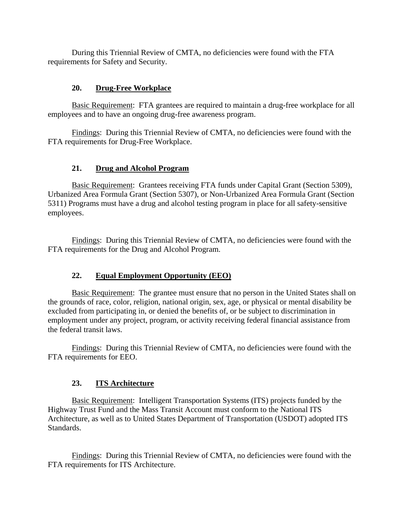During this Triennial Review of CMTA, no deficiencies were found with the FTA requirements for Safety and Security.

#### **20. Drug-Free Workplace**

Basic Requirement: FTA grantees are required to maintain a drug-free workplace for all employees and to have an ongoing drug-free awareness program.

Findings: During this Triennial Review of CMTA, no deficiencies were found with the FTA requirements for Drug-Free Workplace.

#### **21. Drug and Alcohol Program**

Basic Requirement: Grantees receiving FTA funds under Capital Grant (Section 5309), Urbanized Area Formula Grant (Section 5307), or Non-Urbanized Area Formula Grant (Section 5311) Programs must have a drug and alcohol testing program in place for all safety-sensitive employees.

Findings: During this Triennial Review of CMTA, no deficiencies were found with the FTA requirements for the Drug and Alcohol Program.

### **22. Equal Employment Opportunity (EEO)**

Basic Requirement: The grantee must ensure that no person in the United States shall on the grounds of race, color, religion, national origin, sex, age, or physical or mental disability be excluded from participating in, or denied the benefits of, or be subject to discrimination in employment under any project, program, or activity receiving federal financial assistance from the federal transit laws.

Findings: During this Triennial Review of CMTA, no deficiencies were found with the FTA requirements for EEO.

### **23. ITS Architecture**

Basic Requirement: Intelligent Transportation Systems (ITS) projects funded by the Highway Trust Fund and the Mass Transit Account must conform to the National ITS Architecture, as well as to United States Department of Transportation (USDOT) adopted ITS Standards.

Findings: During this Triennial Review of CMTA, no deficiencies were found with the FTA requirements for ITS Architecture.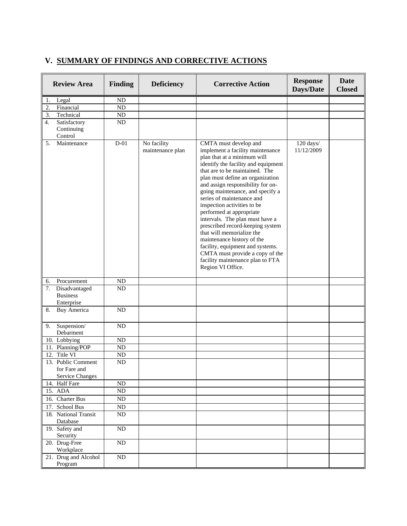# **V. SUMMARY OF FINDINGS AND CORRECTIVE ACTIONS**

| <b>Review Area</b>                                           | <b>Finding</b>  | <b>Deficiency</b>               | <b>Corrective Action</b>                                                                                                                                                                                                                                                                                                                                                                                                                                                                                                                                                                                                                 | <b>Response</b><br>Days/Date | <b>Date</b><br><b>Closed</b> |
|--------------------------------------------------------------|-----------------|---------------------------------|------------------------------------------------------------------------------------------------------------------------------------------------------------------------------------------------------------------------------------------------------------------------------------------------------------------------------------------------------------------------------------------------------------------------------------------------------------------------------------------------------------------------------------------------------------------------------------------------------------------------------------------|------------------------------|------------------------------|
| Legal<br>1.                                                  | ND              |                                 |                                                                                                                                                                                                                                                                                                                                                                                                                                                                                                                                                                                                                                          |                              |                              |
| Financial<br>2.                                              | $\rm ND$        |                                 |                                                                                                                                                                                                                                                                                                                                                                                                                                                                                                                                                                                                                                          |                              |                              |
| 3.<br>Technical                                              | ND              |                                 |                                                                                                                                                                                                                                                                                                                                                                                                                                                                                                                                                                                                                                          |                              |                              |
| 4.<br>Satisfactory                                           | ${\rm ND}$      |                                 |                                                                                                                                                                                                                                                                                                                                                                                                                                                                                                                                                                                                                                          |                              |                              |
| Continuing                                                   |                 |                                 |                                                                                                                                                                                                                                                                                                                                                                                                                                                                                                                                                                                                                                          |                              |                              |
| Control                                                      |                 |                                 |                                                                                                                                                                                                                                                                                                                                                                                                                                                                                                                                                                                                                                          |                              |                              |
| 5.<br>Maintenance                                            | $D-01$          | No facility<br>maintenance plan | CMTA must develop and<br>implement a facility maintenance<br>plan that at a minimum will<br>identify the facility and equipment<br>that are to be maintained. The<br>plan must define an organization<br>and assign responsibility for on-<br>going maintenance, and specify a<br>series of maintenance and<br>inspection activities to be<br>performed at appropriate<br>intervals. The plan must have a<br>prescribed record-keeping system<br>that will memorialize the<br>maintenance history of the<br>facility, equipment and systems.<br>CMTA must provide a copy of the<br>facility maintenance plan to FTA<br>Region VI Office. | 120 days/<br>11/12/2009      |                              |
| Procurement<br>6.                                            | ND              |                                 |                                                                                                                                                                                                                                                                                                                                                                                                                                                                                                                                                                                                                                          |                              |                              |
| 7.<br>Disadvantaged                                          | ND              |                                 |                                                                                                                                                                                                                                                                                                                                                                                                                                                                                                                                                                                                                                          |                              |                              |
| <b>Business</b><br>Enterprise                                |                 |                                 |                                                                                                                                                                                                                                                                                                                                                                                                                                                                                                                                                                                                                                          |                              |                              |
| <b>Buy America</b><br>8.                                     | ND              |                                 |                                                                                                                                                                                                                                                                                                                                                                                                                                                                                                                                                                                                                                          |                              |                              |
| Suspension/<br>9.<br>Debarment                               | ND              |                                 |                                                                                                                                                                                                                                                                                                                                                                                                                                                                                                                                                                                                                                          |                              |                              |
| 10. Lobbying                                                 | ND              |                                 |                                                                                                                                                                                                                                                                                                                                                                                                                                                                                                                                                                                                                                          |                              |                              |
| 11. Planning/POP                                             | ND              |                                 |                                                                                                                                                                                                                                                                                                                                                                                                                                                                                                                                                                                                                                          |                              |                              |
| 12. Title VI                                                 | ND              |                                 |                                                                                                                                                                                                                                                                                                                                                                                                                                                                                                                                                                                                                                          |                              |                              |
| 13. Public Comment<br>for Fare and<br><b>Service Changes</b> | ND              |                                 |                                                                                                                                                                                                                                                                                                                                                                                                                                                                                                                                                                                                                                          |                              |                              |
| 14. Half Fare                                                | ${\rm ND}$      |                                 |                                                                                                                                                                                                                                                                                                                                                                                                                                                                                                                                                                                                                                          |                              |                              |
| 15. ADA                                                      | $\rm ND$        |                                 |                                                                                                                                                                                                                                                                                                                                                                                                                                                                                                                                                                                                                                          |                              |                              |
| 16. Charter Bus                                              | $\rm ND$        |                                 |                                                                                                                                                                                                                                                                                                                                                                                                                                                                                                                                                                                                                                          |                              |                              |
| 17. School Bus                                               | $\overline{ND}$ |                                 |                                                                                                                                                                                                                                                                                                                                                                                                                                                                                                                                                                                                                                          |                              |                              |
| 18. National Transit<br>Database                             | ND              |                                 |                                                                                                                                                                                                                                                                                                                                                                                                                                                                                                                                                                                                                                          |                              |                              |
| 19. Safety and<br>Security                                   | ND              |                                 |                                                                                                                                                                                                                                                                                                                                                                                                                                                                                                                                                                                                                                          |                              |                              |
| 20. Drug-Free<br>Workplace                                   | $\overline{ND}$ |                                 |                                                                                                                                                                                                                                                                                                                                                                                                                                                                                                                                                                                                                                          |                              |                              |
| 21. Drug and Alcohol<br>Program                              | $\rm ND$        |                                 |                                                                                                                                                                                                                                                                                                                                                                                                                                                                                                                                                                                                                                          |                              |                              |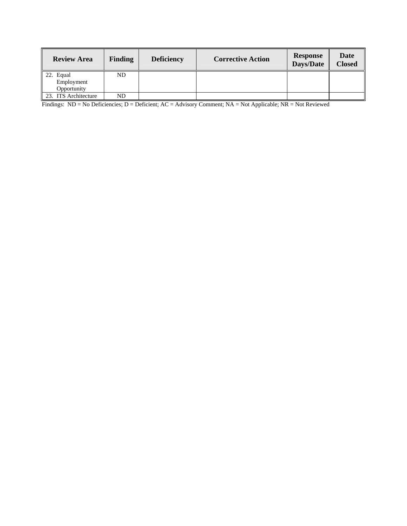| <b>Review Area</b>   | <b>Finding</b> | <b>Deficiency</b> | <b>Corrective Action</b> | <b>Response</b><br>Days/Date | <b>Date</b><br><b>Closed</b> |
|----------------------|----------------|-------------------|--------------------------|------------------------------|------------------------------|
| 22. Equal            | ND             |                   |                          |                              |                              |
| Employment           |                |                   |                          |                              |                              |
| Opportunity          |                |                   |                          |                              |                              |
| 23. ITS Architecture | ND             |                   |                          |                              |                              |

Findings: ND = No Deficiencies; D = Deficient; AC = Advisory Comment; NA = Not Applicable; NR = Not Reviewed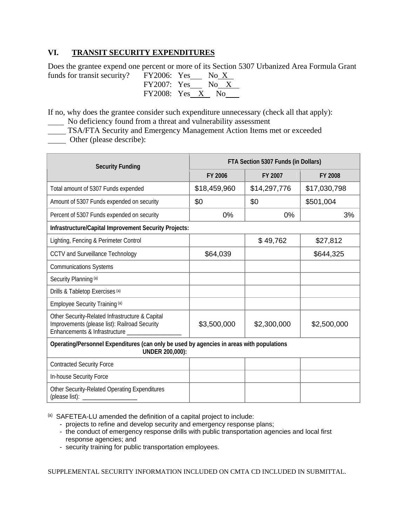### **VI. TRANSIT SECURITY EXPENDITURES**

Does the grantee expend one percent or more of its Section 5307 Urbanized Area Formula Grant funds for transit security?

| $\text{FY2006:}$ Yes |  | No $X$ |  |
|----------------------|--|--------|--|
| FY2007: Yes          |  | No X   |  |
| FY2008: Yes X No     |  |        |  |

If no, why does the grantee consider such expenditure unnecessary (check all that apply):

No deficiency found from a threat and vulnerability assessment

TSA/FTA Security and Emergency Management Action Items met or exceeded

**Community** Other (please describe):

| <b>Security Funding</b>                                                                                                           | FTA Section 5307 Funds (in Dollars) |              |              |  |  |
|-----------------------------------------------------------------------------------------------------------------------------------|-------------------------------------|--------------|--------------|--|--|
|                                                                                                                                   | FY 2006                             | FY 2007      | FY 2008      |  |  |
| Total amount of 5307 Funds expended                                                                                               | \$18,459,960                        | \$14,297,776 | \$17,030,798 |  |  |
| Amount of 5307 Funds expended on security                                                                                         | \$0                                 | \$0          | \$501,004    |  |  |
| Percent of 5307 Funds expended on security                                                                                        | 0%                                  | 0%           | 3%           |  |  |
| Infrastructure/Capital Improvement Security Projects:                                                                             |                                     |              |              |  |  |
| Lighting, Fencing & Perimeter Control                                                                                             |                                     | \$49,762     | \$27,812     |  |  |
| <b>CCTV and Surveillance Technology</b>                                                                                           | \$64,039                            |              | \$644,325    |  |  |
| <b>Communications Systems</b>                                                                                                     |                                     |              |              |  |  |
| Security Planning (a)                                                                                                             |                                     |              |              |  |  |
| Drills & Tabletop Exercises (a)                                                                                                   |                                     |              |              |  |  |
| Employee Security Training (a)                                                                                                    |                                     |              |              |  |  |
| Other Security-Related Infrastructure & Capital<br>Improvements (please list): Railroad Security<br>Enhancements & Infrastructure | \$3,500,000                         | \$2,300,000  | \$2,500,000  |  |  |
| Operating/Personnel Expenditures (can only be used by agencies in areas with populations<br>UNDER 200,000):                       |                                     |              |              |  |  |
| <b>Contracted Security Force</b>                                                                                                  |                                     |              |              |  |  |
| In-house Security Force                                                                                                           |                                     |              |              |  |  |
| Other Security-Related Operating Expenditures<br>(please list):                                                                   |                                     |              |              |  |  |

(a) SAFETEA-LU amended the definition of a capital project to include:

- projects to refine and develop security and emergency response plans;
- the conduct of emergency response drills with public transportation agencies and local first response agencies; and
- security training for public transportation employees.

SUPPLEMENTAL SECURITY INFORMATION INCLUDED ON CMTA CD INCLUDED IN SUBMITTAL.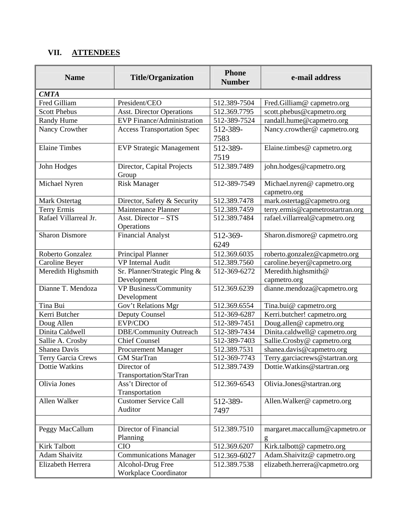# **VII. ATTENDEES**

| <b>Name</b>           | <b>Title/Organization</b>                         | <b>Phone</b><br><b>Number</b> | e-mail address                             |
|-----------------------|---------------------------------------------------|-------------------------------|--------------------------------------------|
| <b>CMTA</b>           |                                                   |                               |                                            |
| Fred Gilliam          | President/CEO                                     | 512.389-7504                  | Fred.Gilliam@capmetro.org                  |
| <b>Scott Phebus</b>   | <b>Asst. Director Operations</b>                  | 512.369.7795                  | scott.phebus@capmetro.org                  |
| Randy Hume            | <b>EVP</b> Finance/Administration                 | 512-389-7524                  | randall.hume@capmetro.org                  |
| Nancy Crowther        | <b>Access Transportation Spec</b>                 | 512-389-<br>7583              | Nancy.crowther@capmetro.org                |
| <b>Elaine Timbes</b>  | <b>EVP Strategic Management</b>                   | 512-389-<br>7519              | Elaine.timbes@capmetro.org                 |
| John Hodges           | Director, Capital Projects<br>Group               | 512.389.7489                  | john.hodges@capmetro.org                   |
| Michael Nyren         | <b>Risk Manager</b>                               | 512-389-7549                  | Michael.nyren@capmetro.org<br>capmetro.org |
| Mark Ostertag         | Director, Safety & Security                       | 512.389.7478                  | mark.ostertag@capmetro.org                 |
| Terry Ermis           | Maintenance Planner                               | 512.389.7459                  | terry.ermis@capmetrostartran.org           |
| Rafael Villarreal Jr. | Asst. Director - STS<br>Operations                | 512.389.7484                  | rafael.villarreal@capmetro.org             |
| <b>Sharon Dismore</b> | <b>Financial Analyst</b>                          | 512-369-<br>6249              | Sharon.dismore@capmetro.org                |
| Roberto Gonzalez      | Principal Planner                                 | 512.369.6035                  | roberto.gonzalez@capmetro.org              |
| Caroline Beyer        | <b>VP</b> Internal Audit                          | 512.389.7560                  | caroline.beyer@capmetro.org                |
| Meredith Highsmith    | Sr. Planner/Strategic Plng &<br>Development       | 512-369-6272                  | Meredith.highsmith@<br>capmetro.org        |
| Dianne T. Mendoza     | VP Business/Community<br>Development              | 512.369.6239                  | dianne.mendoza@capmetro.org                |
| Tina Bui              | Gov't Relations Mgr                               | 512.369.6554                  | Tina.bui@capmetro.org                      |
| Kerri Butcher         | Deputy Counsel                                    | 512-369-6287                  | Kerri.butcher! capmetro.org                |
| Doug Allen            | EVP/CDO                                           | 512-389-7451                  | Doug.allen@capmetro.org                    |
| Dinita Caldwell       | DBE/Community Outreach                            | 512-389-7434                  | Dinita.caldwell@capmetro.org               |
| Sallie A. Crosby      | Chief Counsel                                     | 512-389-7403                  | Sallie.Crosby@capmetro.org                 |
| Shanea Davis          | <b>Procurement Manager</b>                        | 512.389.7531                  | shanea.davis@capmetro.org                  |
| Terry Garcia Crews    | <b>GM</b> StarTran                                | 512-369-7743                  | Terry.garciacrews@startran.org             |
| Dottie Watkins        | Director of<br>Transportation/StarTran            | 512.389.7439                  | Dottie. Watkins@startran.org               |
| Olivia Jones          | Ass't Director of<br>Transportation               | 512.369-6543                  | Olivia.Jones@startran.org                  |
| Allen Walker          | <b>Customer Service Call</b><br>Auditor           | 512-389-<br>7497              | Allen.Walker@capmetro.org                  |
|                       |                                                   |                               |                                            |
| Peggy MacCallum       | Director of Financial<br>Planning                 | 512.389.7510                  | margaret.maccallum@capmetro.or             |
| <b>Kirk Talbott</b>   | <b>CIO</b>                                        | 512.369.6207                  | Kirk.talbott@capmetro.org                  |
| <b>Adam Shaivitz</b>  | <b>Communications Manager</b>                     | 512.369-6027                  | Adam.Shaivitz@capmetro.org                 |
| Elizabeth Herrera     | Alcohol-Drug Free<br><b>Workplace Coordinator</b> | 512.389.7538                  | elizabeth.herrera@capmetro.org             |